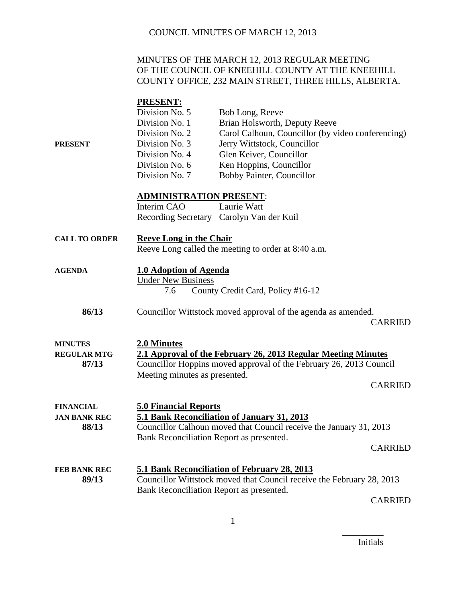### COUNCIL MINUTES OF MARCH 12, 2013

**PRESENT:**

### MINUTES OF THE MARCH 12, 2013 REGULAR MEETING OF THE COUNCIL OF KNEEHILL COUNTY AT THE KNEEHILL COUNTY OFFICE, 232 MAIN STREET, THREE HILLS, ALBERTA.

|                      | <u>PRESENT:</u>                                                       |                                                                    |                |
|----------------------|-----------------------------------------------------------------------|--------------------------------------------------------------------|----------------|
|                      | Division No. 5                                                        | Bob Long, Reeve                                                    |                |
|                      | Division No. 1                                                        | Brian Holsworth, Deputy Reeve                                      |                |
|                      | Division No. 2                                                        | Carol Calhoun, Councillor (by video conferencing)                  |                |
| <b>PRESENT</b>       | Division No. 3                                                        | Jerry Wittstock, Councillor                                        |                |
|                      | Division No. 4                                                        | Glen Keiver, Councillor                                            |                |
|                      | Division No. 6                                                        | Ken Hoppins, Councillor                                            |                |
|                      | Division No. 7                                                        | Bobby Painter, Councillor                                          |                |
|                      | <b>ADMINISTRATION PRESENT:</b>                                        |                                                                    |                |
|                      | Interim CAO                                                           | Laurie Watt                                                        |                |
|                      |                                                                       | Recording Secretary Carolyn Van der Kuil                           |                |
| <b>CALL TO ORDER</b> | <b>Reeve Long in the Chair</b>                                        |                                                                    |                |
|                      |                                                                       | Reeve Long called the meeting to order at 8:40 a.m.                |                |
| <b>AGENDA</b>        | 1.0 Adoption of Agenda                                                |                                                                    |                |
|                      | <b>Under New Business</b>                                             |                                                                    |                |
|                      | 7.6                                                                   | County Credit Card, Policy #16-12                                  |                |
| 86/13                |                                                                       | Councillor Wittstock moved approval of the agenda as amended.      |                |
|                      |                                                                       |                                                                    | <b>CARRIED</b> |
| <b>MINUTES</b>       | 2.0 Minutes                                                           |                                                                    |                |
| <b>REGULAR MTG</b>   | 2.1 Approval of the February 26, 2013 Regular Meeting Minutes         |                                                                    |                |
| 87/13                | Councillor Hoppins moved approval of the February 26, 2013 Council    |                                                                    |                |
|                      | Meeting minutes as presented.                                         |                                                                    |                |
|                      |                                                                       |                                                                    | <b>CARRIED</b> |
| <b>FINANCIAL</b>     | <b>5.0 Financial Reports</b>                                          |                                                                    |                |
| <b>JAN BANK REC</b>  |                                                                       | 5.1 Bank Reconciliation of January 31, 2013                        |                |
| 88/13                |                                                                       | Councillor Calhoun moved that Council receive the January 31, 2013 |                |
|                      | Bank Reconciliation Report as presented.                              |                                                                    |                |
|                      |                                                                       |                                                                    | <b>CARRIED</b> |
| <b>FEB BANK REC</b>  |                                                                       | 5.1 Bank Reconciliation of February 28, 2013                       |                |
| 89/13                | Councillor Wittstock moved that Council receive the February 28, 2013 |                                                                    |                |
|                      | Bank Reconciliation Report as presented.                              |                                                                    |                |

CARRIED

Initials

\_\_\_\_\_\_\_\_\_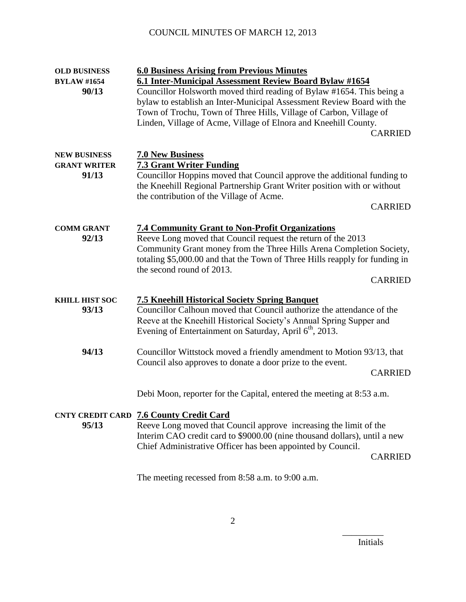| <b>OLD BUSINESS</b><br><b>BYLAW #1654</b><br>90/13  | <b>6.0 Business Arising from Previous Minutes</b><br>6.1 Inter-Municipal Assessment Review Board Bylaw #1654<br>Councillor Holsworth moved third reading of Bylaw #1654. This being a<br>bylaw to establish an Inter-Municipal Assessment Review Board with the<br>Town of Trochu, Town of Three Hills, Village of Carbon, Village of<br>Linden, Village of Acme, Village of Elnora and Kneehill County.<br><b>CARRIED</b> |
|-----------------------------------------------------|----------------------------------------------------------------------------------------------------------------------------------------------------------------------------------------------------------------------------------------------------------------------------------------------------------------------------------------------------------------------------------------------------------------------------|
| <b>NEW BUSINESS</b><br><b>GRANT WRITER</b><br>91/13 | <b>7.0 New Business</b><br><b>7.3 Grant Writer Funding</b><br>Councillor Hoppins moved that Council approve the additional funding to<br>the Kneehill Regional Partnership Grant Writer position with or without<br>the contribution of the Village of Acme.<br><b>CARRIED</b>                                                                                                                                             |
| <b>COMM GRANT</b><br>92/13                          | <b>7.4 Community Grant to Non-Profit Organizations</b><br>Reeve Long moved that Council request the return of the 2013<br>Community Grant money from the Three Hills Arena Completion Society,<br>totaling \$5,000.00 and that the Town of Three Hills reapply for funding in<br>the second round of 2013.<br><b>CARRIED</b>                                                                                               |
| <b>KHILL HIST SOC</b><br>93/13                      | <b>7.5 Kneehill Historical Society Spring Banquet</b><br>Councillor Calhoun moved that Council authorize the attendance of the<br>Reeve at the Kneehill Historical Society's Annual Spring Supper and<br>Evening of Entertainment on Saturday, April 6 <sup>th</sup> , 2013.                                                                                                                                               |
| 94/13                                               | Councillor Wittstock moved a friendly amendment to Motion 93/13, that<br>Council also approves to donate a door prize to the event.<br><b>CARRIED</b>                                                                                                                                                                                                                                                                      |
|                                                     | Debi Moon, reporter for the Capital, entered the meeting at 8:53 a.m.                                                                                                                                                                                                                                                                                                                                                      |
| 95/13                                               | <b>CNTY CREDIT CARD 7.6 County Credit Card</b><br>Reeve Long moved that Council approve increasing the limit of the<br>Interim CAO credit card to \$9000.00 (nine thousand dollars), until a new<br>Chief Administrative Officer has been appointed by Council.<br><b>CARRIED</b>                                                                                                                                          |
|                                                     | The meeting recessed from 8:58 a.m. to 9:00 a.m.                                                                                                                                                                                                                                                                                                                                                                           |

Initials

\_\_\_\_\_\_\_\_\_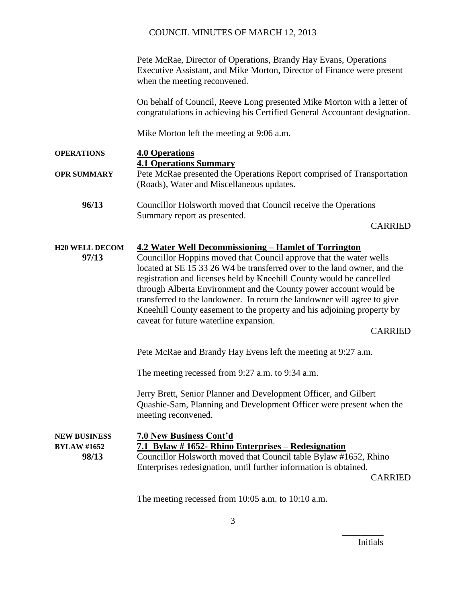### COUNCIL MINUTES OF MARCH 12, 2013

Pete McRae, Director of Operations, Brandy Hay Evans, Operations Executive Assistant, and Mike Morton, Director of Finance were present when the meeting reconvened.

On behalf of Council, Reeve Long presented Mike Morton with a letter of congratulations in achieving his Certified General Accountant designation.

Mike Morton left the meeting at 9:06 a.m.

# **OPERATIONS 4.0 Operations 4.1 Operations Summary OPR SUMMARY** Pete McRae presented the Operations Report comprised of Transportation (Roads), Water and Miscellaneous updates.

**96/13** Councillor Holsworth moved that Council receive the Operations Summary report as presented.

CARRIED

### **H20 WELL DECOM 4.2 Water Well Decommissioning – Hamlet of Torrington**

**97/13** Councillor Hoppins moved that Council approve that the water wells located at SE 15 33 26 W4 be transferred over to the land owner, and the registration and licenses held by Kneehill County would be cancelled through Alberta Environment and the County power account would be transferred to the landowner. In return the landowner will agree to give Kneehill County easement to the property and his adjoining property by caveat for future waterline expansion.

CARRIED

Pete McRae and Brandy Hay Evens left the meeting at 9:27 a.m.

The meeting recessed from 9:27 a.m. to 9:34 a.m.

Jerry Brett, Senior Planner and Development Officer, and Gilbert Quashie-Sam, Planning and Development Officer were present when the meeting reconvened.

| <b>NEW BUSINESS</b> | <b>7.0 New Business Cont'd</b>                                    |  |
|---------------------|-------------------------------------------------------------------|--|
| <b>BYLAW #1652</b>  | 7.1 Bylaw #1652- Rhino Enterprises – Redesignation                |  |
| 98/13               | Councillor Holsworth moved that Council table Bylaw #1652, Rhino  |  |
|                     | Enterprises redesignation, until further information is obtained. |  |
|                     | $C$ announce                                                      |  |

CARRIED

The meeting recessed from 10:05 a.m. to 10:10 a.m.

Initials

\_\_\_\_\_\_\_\_\_